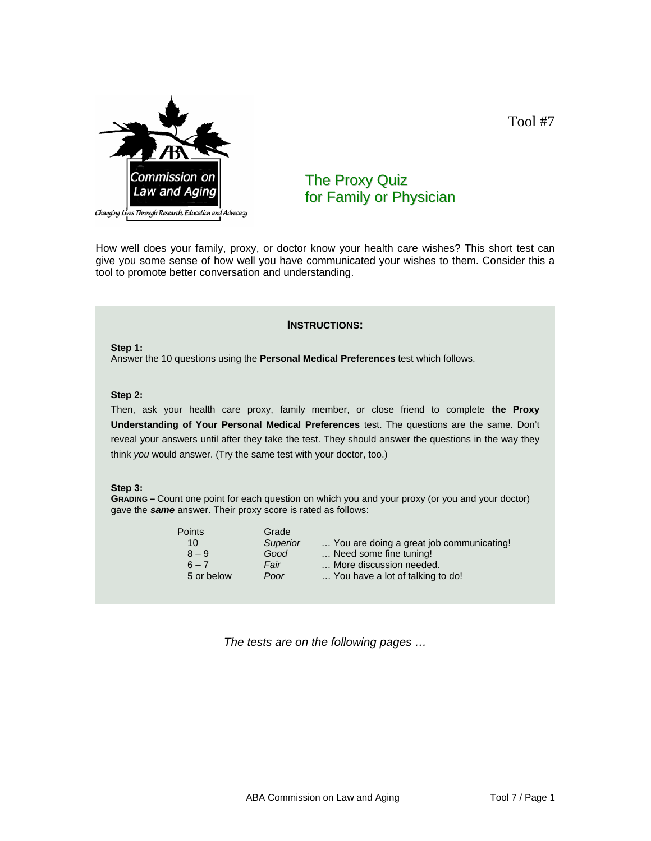

The Proxy Quiz for Family or Physician

How well does your family, proxy, or doctor know your health care wishes? This short test can give you some sense of how well you have communicated your wishes to them. Consider this a tool to promote better conversation and understanding.

### **INSTRUCTIONS:**

**Step 1:** Answer the 10 questions using the **Personal Medical Preferences** test which follows.

#### **Step 2:**

Then, ask your health care proxy, family member, or close friend to complete **the Proxy Understanding of Your Personal Medical Preferences** test. The questions are the same. Don't reveal your answers until after they take the test. They should answer the questions in the way they think *you* would answer. (Try the same test with your doctor, too.)

### **Step 3:**

**GRADING –** Count one point for each question on which you and your proxy (or you and your doctor) gave the *same* answer. Their proxy score is rated as follows:

| Grade    |                                          |
|----------|------------------------------------------|
| Superior | You are doing a great job communicating! |
| Good     | Need some fine tuning!                   |
| Fair     | More discussion needed.                  |
| Poor     | You have a lot of talking to do!         |
|          |                                          |

*The tests are on the following pages …* 

Tool #7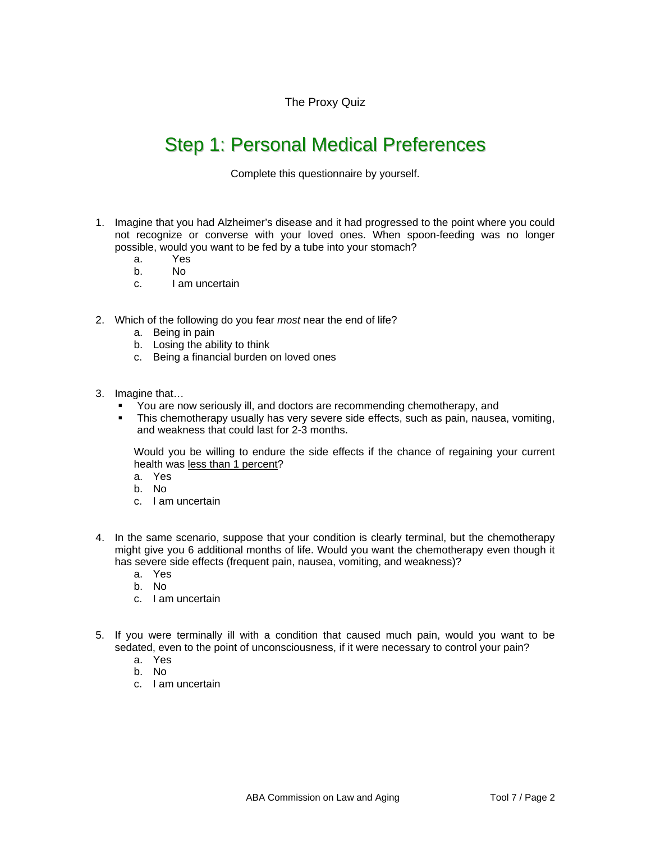The Proxy Quiz

# Step 1: Personal Medical Preferences

Complete this questionnaire by yourself.

- 1. Imagine that you had Alzheimer's disease and it had progressed to the point where you could not recognize or converse with your loved ones. When spoon-feeding was no longer possible, would you want to be fed by a tube into your stomach?
	- a. Yes
	- b. No
	- c. I am uncertain
- 2. Which of the following do you fear *most* near the end of life?
	- a. Being in pain
	- b. Losing the ability to think
	- c. Being a financial burden on loved ones
- 3. Imagine that…
	- You are now seriously ill, and doctors are recommending chemotherapy, and
	- This chemotherapy usually has very severe side effects, such as pain, nausea, vomiting, and weakness that could last for 2-3 months.

Would you be willing to endure the side effects if the chance of regaining your current health was less than 1 percent?

- a. Yes
- b. No
- c. I am uncertain
- 4. In the same scenario, suppose that your condition is clearly terminal, but the chemotherapy might give you 6 additional months of life. Would you want the chemotherapy even though it has severe side effects (frequent pain, nausea, vomiting, and weakness)?
	- a. Yes
	- b. No
	- c. I am uncertain
- 5. If you were terminally ill with a condition that caused much pain, would you want to be sedated, even to the point of unconsciousness, if it were necessary to control your pain?
	- a. Yes
	- b. No
	- c. I am uncertain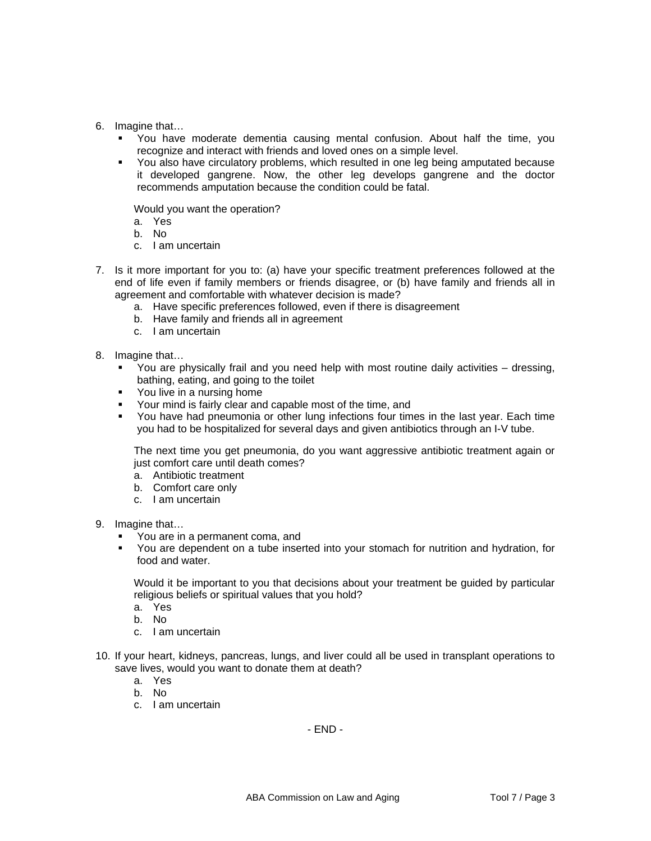- 6. Imagine that…
	- You have moderate dementia causing mental confusion. About half the time, you recognize and interact with friends and loved ones on a simple level.
	- You also have circulatory problems, which resulted in one leg being amputated because it developed gangrene. Now, the other leg develops gangrene and the doctor recommends amputation because the condition could be fatal.

Would you want the operation?

- a. Yes
- b. No
- c. I am uncertain
- 7. Is it more important for you to: (a) have your specific treatment preferences followed at the end of life even if family members or friends disagree, or (b) have family and friends all in agreement and comfortable with whatever decision is made?
	- a. Have specific preferences followed, even if there is disagreement
	- b. Have family and friends all in agreement
	- c. I am uncertain
- 8. Imagine that…
	- You are physically frail and you need help with most routine daily activities dressing, bathing, eating, and going to the toilet
	- **•** You live in a nursing home
	- Your mind is fairly clear and capable most of the time, and
	- You have had pneumonia or other lung infections four times in the last year. Each time you had to be hospitalized for several days and given antibiotics through an I-V tube.

The next time you get pneumonia, do you want aggressive antibiotic treatment again or just comfort care until death comes?

- a. Antibiotic treatment
- b. Comfort care only
- c. I am uncertain

9. Imagine that…

- You are in a permanent coma, and
- You are dependent on a tube inserted into your stomach for nutrition and hydration, for food and water.

Would it be important to you that decisions about your treatment be guided by particular religious beliefs or spiritual values that you hold?

- a. Yes
- b. No
- c. I am uncertain
- 10. If your heart, kidneys, pancreas, lungs, and liver could all be used in transplant operations to save lives, would you want to donate them at death?
	- a. Yes
	- b. No
	- c. I am uncertain

- END -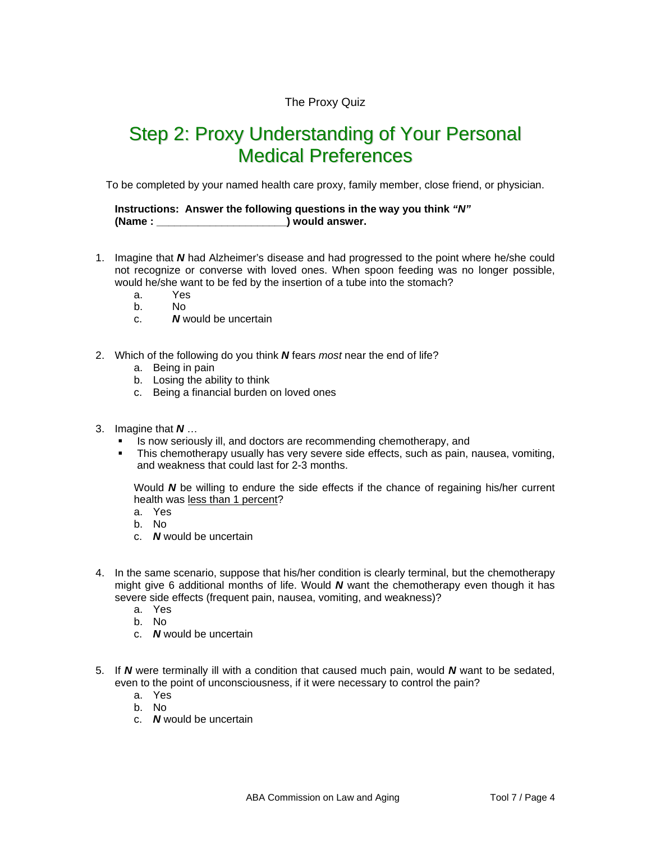### The Proxy Quiz

## Step 2: Proxy Understanding of Your Personal Medical Preferences

To be completed by your named health care proxy, family member, close friend, or physician.

**Instructions: Answer the following questions in the way you think** *"N"* **(Name : \_\_\_\_\_\_\_\_\_\_\_\_\_\_\_\_\_\_\_\_\_\_) would answer.** 

- 1. Imagine that *N* had Alzheimer's disease and had progressed to the point where he/she could not recognize or converse with loved ones. When spoon feeding was no longer possible, would he/she want to be fed by the insertion of a tube into the stomach?
	- a. Yes
	- b. No
	- c. *N* would be uncertain
- 2. Which of the following do you think *N* fears *most* near the end of life?
	- a. Being in pain
	- b. Losing the ability to think
	- c. Being a financial burden on loved ones
- 3. Imagine that *N* …
	- **EXEDENT** Is now seriously ill, and doctors are recommending chemotherapy, and
	- This chemotherapy usually has very severe side effects, such as pain, nausea, vomiting, and weakness that could last for 2-3 months.

Would *N* be willing to endure the side effects if the chance of regaining his/her current health was less than 1 percent?

- a. Yes
- b. No
- c. *N* would be uncertain
- 4. In the same scenario, suppose that his/her condition is clearly terminal, but the chemotherapy might give 6 additional months of life. Would *N* want the chemotherapy even though it has severe side effects (frequent pain, nausea, vomiting, and weakness)?
	- a. Yes
	- b. No
	- c. *N* would be uncertain
- 5. If *N* were terminally ill with a condition that caused much pain, would *N* want to be sedated, even to the point of unconsciousness, if it were necessary to control the pain?
	- a. Yes
	- b. No
	- c. *N* would be uncertain